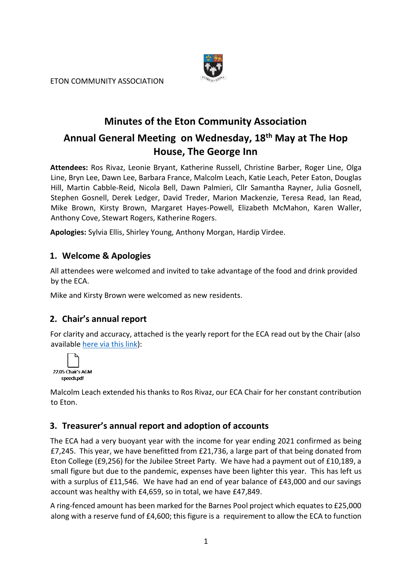ETON COMMUNITY ASSOCIATION



# **Minutes of the Eton Community Association Annual General Meeting on Wednesday, 18th May at The Hop House, The George Inn**

**Attendees:** Ros Rivaz, Leonie Bryant, Katherine Russell, Christine Barber, Roger Line, Olga Line, Bryn Lee, Dawn Lee, Barbara France, Malcolm Leach, Katie Leach, Peter Eaton, Douglas Hill, Martin Cabble-Reid, Nicola Bell, Dawn Palmieri, Cllr Samantha Rayner, Julia Gosnell, Stephen Gosnell, Derek Ledger, David Treder, Marion Mackenzie, Teresa Read, Ian Read, Mike Brown, Kirsty Brown, Margaret Hayes-Powell, Elizabeth McMahon, Karen Waller, Anthony Cove, Stewart Rogers, Katherine Rogers.

**Apologies:** Sylvia Ellis, Shirley Young, Anthony Morgan, Hardip Virdee.

### **1. Welcome & Apologies**

All attendees were welcomed and invited to take advantage of the food and drink provided by the ECA.

Mike and Kirsty Brown were welcomed as new residents.

### **2. Chair's annual report**

For clarity and accuracy, attached is the yearly report for the ECA read out by the Chair (also available [here via this link\)](https://c946ab74-dad0-4b35-937b-049cbc525ef9.usrfiles.com/ugd/c946ab_4bfabc1fc2804d64a0b4cd99631ca69c.pdf):



Malcolm Leach extended his thanks to Ros Rivaz, our ECA Chair for her constant contribution to Eton.

### **3. Treasurer's annual report and adoption of accounts**

The ECA had a very buoyant year with the income for year ending 2021 confirmed as being £7,245. This year, we have benefitted from £21,736, a large part of that being donated from Eton College (£9,256) for the Jubilee Street Party. We have had a payment out of £10,189, a small figure but due to the pandemic, expenses have been lighter this year. This has left us with a surplus of £11,546. We have had an end of year balance of £43,000 and our savings account was healthy with £4,659, so in total, we have £47,849.

A ring-fenced amount has been marked for the Barnes Pool project which equates to £25,000 along with a reserve fund of £4,600; this figure is a requirement to allow the ECA to function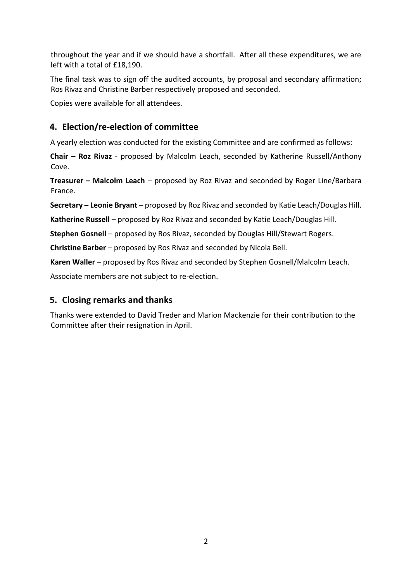throughout the year and if we should have a shortfall. After all these expenditures, we are left with a total of £18,190.

The final task was to sign off the audited accounts, by proposal and secondary affirmation; Ros Rivaz and Christine Barber respectively proposed and seconded.

Copies were available for all attendees.

### **4. Election/re-election of committee**

A yearly election was conducted for the existing Committee and are confirmed as follows:

**Chair – Roz Rivaz** - proposed by Malcolm Leach, seconded by Katherine Russell/Anthony Cove.

**Treasurer – Malcolm Leach** – proposed by Roz Rivaz and seconded by Roger Line/Barbara France.

**Secretary – Leonie Bryant** – proposed by Roz Rivaz and seconded by Katie Leach/Douglas Hill.

**Katherine Russell** – proposed by Roz Rivaz and seconded by Katie Leach/Douglas Hill.

**Stephen Gosnell** – proposed by Ros Rivaz, seconded by Douglas Hill/Stewart Rogers.

**Christine Barber** – proposed by Ros Rivaz and seconded by Nicola Bell.

**Karen Waller** – proposed by Ros Rivaz and seconded by Stephen Gosnell/Malcolm Leach.

Associate members are not subject to re-election.

#### **5. Closing remarks and thanks**

Thanks were extended to David Treder and Marion Mackenzie for their contribution to the Committee after their resignation in April.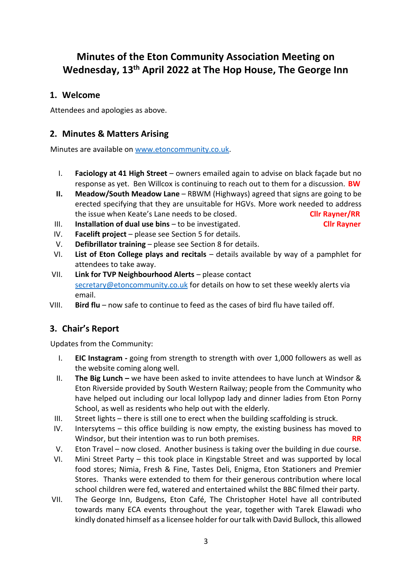## **Minutes of the Eton Community Association Meeting on Wednesday, 13th April 2022 at The Hop House, The George Inn**

### **1. Welcome**

Attendees and apologies as above.

### **2. Minutes & Matters Arising**

Minutes are available on [www.etoncommunity.co.uk.](http://www.etoncommunity.co.uk/)

- I. **Faciology at 41 High Street** owners emailed again to advise on black façade but no response as yet. Ben Willcox is continuing to reach out to them for a discussion. **BW**
- **II. Meadow/South Meadow Lane** RBWM (Highways) agreed that signs are going to be erected specifying that they are unsuitable for HGVs. More work needed to address the issue when Keate's Lane needs to be closed. **Cllr Rayner/RR**
- III. **Installation of dual use bins** to be investigated. **Cllr Rayner**
- IV. **Facelift project** please see Section 5 for details.
- V. **Defibrillator training**  please see Section 8 for details.
- VI. **List of Eton College plays and recitals**  details available by way of a pamphlet for attendees to take away.
- VII. **Link for TVP Neighbourhood Alerts**  please contact [secretary@etoncommunity.co.uk](mailto:secretary@etoncommunity.co.uk) for details on how to set these weekly alerts via email.
- VIII. **Bird flu**  now safe to continue to feed as the cases of bird flu have tailed off.

### **3. Chair's Report**

Updates from the Community:

- I. **EIC Instagram -** going from strength to strength with over 1,000 followers as well as the website coming along well.
- II. **The Big Lunch –** we have been asked to invite attendees to have lunch at Windsor & Eton Riverside provided by South Western Railway; people from the Community who have helped out including our local lollypop lady and dinner ladies from Eton Porny School, as well as residents who help out with the elderly.
- III. Street lights there is still one to erect when the building scaffolding is struck.
- IV. Intersytems this office building is now empty, the existing business has moved to Windsor, but their intention was to run both premises. **RR**
- V. Eton Travel now closed. Another business is taking over the building in due course.
- VI. Mini Street Party this took place in Kingstable Street and was supported by local food stores; Nimia, Fresh & Fine, Tastes Deli, Enigma, Eton Stationers and Premier Stores. Thanks were extended to them for their generous contribution where local school children were fed, watered and entertained whilst the BBC filmed their party.
- VII. The George Inn, Budgens, Eton Café, The Christopher Hotel have all contributed towards many ECA events throughout the year, together with Tarek Elawadi who kindly donated himself as a licensee holder for our talk with David Bullock, this allowed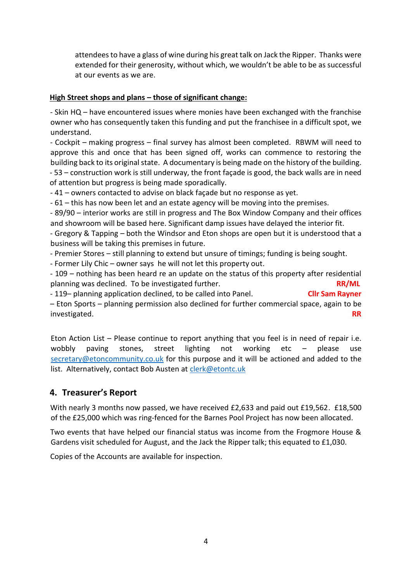attendees to have a glass of wine during his great talk on Jack the Ripper. Thanks were extended for their generosity, without which, we wouldn't be able to be as successful at our events as we are.

#### **High Street shops and plans – those of significant change:**

- Skin HQ – have encountered issues where monies have been exchanged with the franchise owner who has consequently taken this funding and put the franchisee in a difficult spot, we understand.

- Cockpit – making progress – final survey has almost been completed. RBWM will need to approve this and once that has been signed off, works can commence to restoring the building back to its original state. A documentary is being made on the history of the building. - 53 – construction work is still underway, the front façade is good, the back walls are in need of attention but progress is being made sporadically.

- 41 – owners contacted to advise on black façade but no response as yet.

- 61 – this has now been let and an estate agency will be moving into the premises.

- 89/90 – interior works are still in progress and The Box Window Company and their offices and showroom will be based here. Significant damp issues have delayed the interior fit.

- Gregory & Tapping – both the Windsor and Eton shops are open but it is understood that a business will be taking this premises in future.

- Premier Stores – still planning to extend but unsure of timings; funding is being sought.

- Former Lily Chic – owner says he will not let this property out.

- 109 – nothing has been heard re an update on the status of this property after residential planning was declined. To be investigated further. **RR/ML**

- 119– planning application declined, to be called into Panel. **Cllr Sam Rayner** – Eton Sports – planning permission also declined for further commercial space, again to be investigated. **RR**

Eton Action List – Please continue to report anything that you feel is in need of repair i.e. wobbly paving stones, street lighting not working etc – please use [secretary@etoncommunity.co.uk](mailto:secretary@etoncommunity.co.uk) for this purpose and it will be actioned and added to the list. Alternatively, contact Bob Austen at [clerk@etontc.uk](mailto:clerk@etontc.uk)

### **4. Treasurer's Report**

With nearly 3 months now passed, we have received £2,633 and paid out £19,562. £18,500 of the £25,000 which was ring-fenced for the Barnes Pool Project has now been allocated.

Two events that have helped our financial status was income from the Frogmore House & Gardens visit scheduled for August, and the Jack the Ripper talk; this equated to £1,030.

Copies of the Accounts are available for inspection.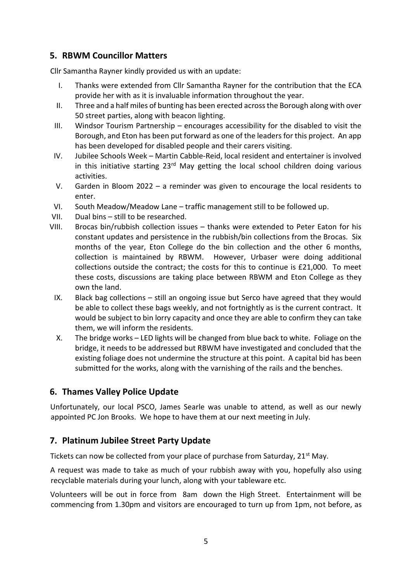### **5. RBWM Councillor Matters**

Cllr Samantha Rayner kindly provided us with an update:

- I. Thanks were extended from Cllr Samantha Rayner for the contribution that the ECA provide her with as it is invaluable information throughout the year.
- II. Three and a half miles of bunting has been erected across the Borough along with over 50 street parties, along with beacon lighting.
- III. Windsor Tourism Partnership encourages accessibility for the disabled to visit the Borough, and Eton has been put forward as one of the leaders for this project. An app has been developed for disabled people and their carers visiting.
- IV. Jubilee Schools Week Martin Cabble-Reid, local resident and entertainer is involved in this initiative starting  $23<sup>rd</sup>$  May getting the local school children doing various activities.
- V. Garden in Bloom 2022 a reminder was given to encourage the local residents to enter.
- VI. South Meadow/Meadow Lane traffic management still to be followed up.
- VII. Dual bins still to be researched.
- VIII. Brocas bin/rubbish collection issues thanks were extended to Peter Eaton for his constant updates and persistence in the rubbish/bin collections from the Brocas. Six months of the year, Eton College do the bin collection and the other 6 months, collection is maintained by RBWM. However, Urbaser were doing additional collections outside the contract; the costs for this to continue is £21,000. To meet these costs, discussions are taking place between RBWM and Eton College as they own the land.
	- IX. Black bag collections still an ongoing issue but Serco have agreed that they would be able to collect these bags weekly, and not fortnightly as is the current contract. It would be subject to bin lorry capacity and once they are able to confirm they can take them, we will inform the residents.
	- X. The bridge works LED lights will be changed from blue back to white. Foliage on the bridge, it needs to be addressed but RBWM have investigated and concluded that the existing foliage does not undermine the structure at this point. A capital bid has been submitted for the works, along with the varnishing of the rails and the benches.

### **6. Thames Valley Police Update**

Unfortunately, our local PSCO, James Searle was unable to attend, as well as our newly appointed PC Jon Brooks. We hope to have them at our next meeting in July.

### **7. Platinum Jubilee Street Party Update**

Tickets can now be collected from your place of purchase from Saturday, 21<sup>st</sup> May.

A request was made to take as much of your rubbish away with you, hopefully also using recyclable materials during your lunch, along with your tableware etc.

Volunteers will be out in force from 8am down the High Street. Entertainment will be commencing from 1.30pm and visitors are encouraged to turn up from 1pm, not before, as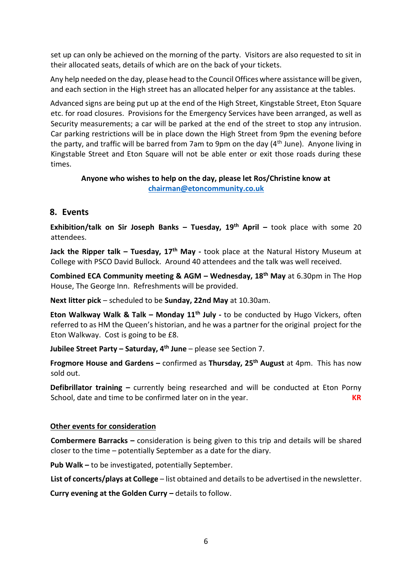set up can only be achieved on the morning of the party. Visitors are also requested to sit in their allocated seats, details of which are on the back of your tickets.

Any help needed on the day, please head to the Council Offices where assistance will be given, and each section in the High street has an allocated helper for any assistance at the tables.

Advanced signs are being put up at the end of the High Street, Kingstable Street, Eton Square etc. for road closures. Provisions for the Emergency Services have been arranged, as well as Security measurements; a car will be parked at the end of the street to stop any intrusion. Car parking restrictions will be in place down the High Street from 9pm the evening before the party, and traffic will be barred from 7am to 9pm on the day (4<sup>th</sup> June). Anyone living in Kingstable Street and Eton Square will not be able enter or exit those roads during these times.

#### **Anyone who wishes to help on the day, please let Ros/Christine know at [chairman@etoncommunity.co.uk](mailto:chairman@etoncommunity.co.uk)**

### **8. Events**

**Exhibition/talk on Sir Joseph Banks – Tuesday, 19th April –** took place with some 20 attendees.

**Jack the Ripper talk – Tuesday, 17th May -** took place at the Natural History Museum at College with PSCO David Bullock. Around 40 attendees and the talk was well received.

**Combined ECA Community meeting & AGM – Wednesday, 18th May** at 6.30pm in The Hop House, The George Inn. Refreshments will be provided.

**Next litter pick** – scheduled to be **Sunday, 22nd May** at 10.30am.

**Eton Walkway Walk & Talk – Monday 11th July -** to be conducted by Hugo Vickers, often referred to as HM the Queen's historian, and he was a partner for the original project for the Eton Walkway. Cost is going to be £8.

**Jubilee Street Party – Saturday, 4th June** – please see Section 7.

**Frogmore House and Gardens –** confirmed as **Thursday, 25th August** at 4pm. This has now sold out.

**Defibrillator training –** currently being researched and will be conducted at Eton Porny School, date and time to be confirmed later on in the year. **KR**

#### **Other events for consideration**

**Combermere Barracks –** consideration is being given to this trip and details will be shared closer to the time – potentially September as a date for the diary.

**Pub Walk –** to be investigated, potentially September.

**List of concerts/plays at College** – list obtained and details to be advertised in the newsletter.

**Curry evening at the Golden Curry –** details to follow.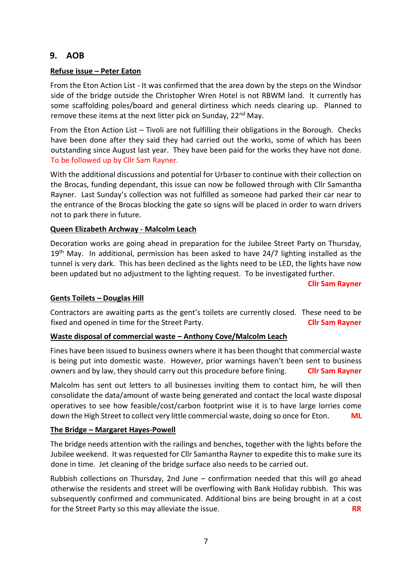#### **9. AOB**

#### **Refuse issue – Peter Eaton**

From the Eton Action List - It was confirmed that the area down by the steps on the Windsor side of the bridge outside the Christopher Wren Hotel is not RBWM land. It currently has some scaffolding poles/board and general dirtiness which needs clearing up. Planned to remove these items at the next litter pick on Sunday, 22<sup>nd</sup> May.

From the Eton Action List – Tivoli are not fulfilling their obligations in the Borough. Checks have been done after they said they had carried out the works, some of which has been outstanding since August last year. They have been paid for the works they have not done. To be followed up by Cllr Sam Rayner.

With the additional discussions and potential for Urbaser to continue with their collection on the Brocas, funding dependant, this issue can now be followed through with Cllr Samantha Rayner. Last Sunday's collection was not fulfilled as someone had parked their car near to the entrance of the Brocas blocking the gate so signs will be placed in order to warn drivers not to park there in future.

#### **Queen Elizabeth Archway - Malcolm Leach**

Decoration works are going ahead in preparation for the Jubilee Street Party on Thursday,  $19<sup>th</sup>$  May. In additional, permission has been asked to have 24/7 lighting installed as the tunnel is very dark. This has been declined as the lights need to be LED, the lights have now been updated but no adjustment to the lighting request. To be investigated further.

**Cllr Sam Rayner**

#### **Gents Toilets – Douglas Hill**

Contractors are awaiting parts as the gent's toilets are currently closed. These need to be fixed and opened in time for the Street Party. **Cllr Sam Rayner**

#### **Waste disposal of commercial waste – Anthony Cove/Malcolm Leach**

Fines have been issued to business owners where it has been thought that commercial waste is being put into domestic waste. However, prior warnings haven't been sent to business owners and by law, they should carry out this procedure before fining. **Cllr Sam Rayner**

Malcolm has sent out letters to all businesses inviting them to contact him, he will then consolidate the data/amount of waste being generated and contact the local waste disposal operatives to see how feasible/cost/carbon footprint wise it is to have large lorries come down the High Street to collect very little commercial waste, doing so once for Eton. **ML**

#### **The Bridge – Margaret Hayes-Powell**

The bridge needs attention with the railings and benches, together with the lights before the Jubilee weekend. It was requested for Cllr Samantha Rayner to expedite this to make sure its done in time. Jet cleaning of the bridge surface also needs to be carried out.

Rubbish collections on Thursday, 2nd June – confirmation needed that this will go ahead otherwise the residents and street will be overflowing with Bank Holiday rubbish. This was subsequently confirmed and communicated. Additional bins are being brought in at a cost for the Street Party so this may alleviate the issue. **RR**